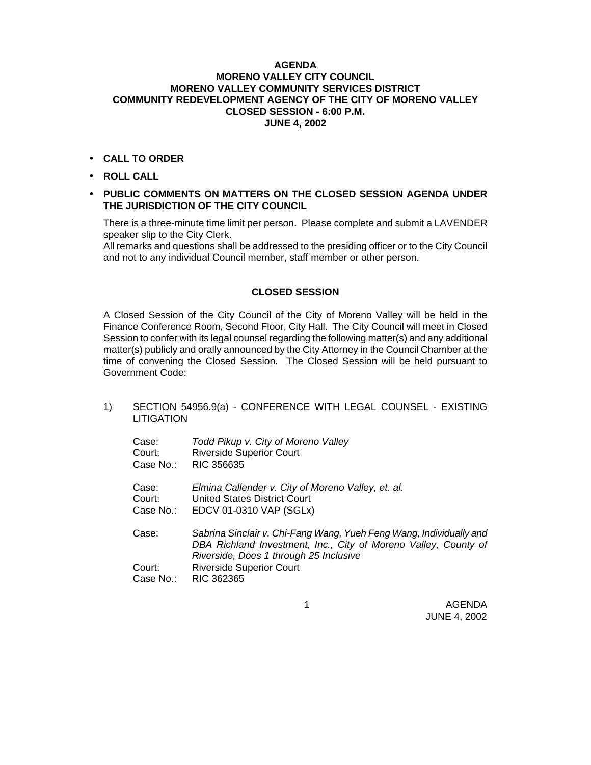### **AGENDA MORENO VALLEY CITY COUNCIL MORENO VALLEY COMMUNITY SERVICES DISTRICT COMMUNITY REDEVELOPMENT AGENCY OF THE CITY OF MORENO VALLEY CLOSED SESSION - 6:00 P.M. JUNE 4, 2002**

- **CALL TO ORDER**
- **ROLL CALL**

### • **PUBLIC COMMENTS ON MATTERS ON THE CLOSED SESSION AGENDA UNDER THE JURISDICTION OF THE CITY COUNCIL**

There is a three-minute time limit per person. Please complete and submit a LAVENDER speaker slip to the City Clerk.

All remarks and questions shall be addressed to the presiding officer or to the City Council and not to any individual Council member, staff member or other person.

## **CLOSED SESSION**

A Closed Session of the City Council of the City of Moreno Valley will be held in the Finance Conference Room, Second Floor, City Hall. The City Council will meet in Closed Session to confer with its legal counsel regarding the following matter(s) and any additional matter(s) publicly and orally announced by the City Attorney in the Council Chamber at the time of convening the Closed Session. The Closed Session will be held pursuant to Government Code:

## 1) SECTION 54956.9(a) - CONFERENCE WITH LEGAL COUNSEL - EXISTING **LITIGATION**

| Todd Pikup v. City of Moreno Valley<br><b>Riverside Superior Court</b><br>RIC 356635                                                                                                                                              |
|-----------------------------------------------------------------------------------------------------------------------------------------------------------------------------------------------------------------------------------|
| Elmina Callender v. City of Moreno Valley, et. al.<br>United States District Court<br>EDCV 01-0310 VAP (SGLx)                                                                                                                     |
| Sabrina Sinclair v. Chi-Fang Wang, Yueh Feng Wang, Individually and<br>DBA Richland Investment, Inc., City of Moreno Valley, County of<br>Riverside, Does 1 through 25 Inclusive<br><b>Riverside Superior Court</b><br>RIC 362365 |
|                                                                                                                                                                                                                                   |

1 AGENDA JUNE 4, 2002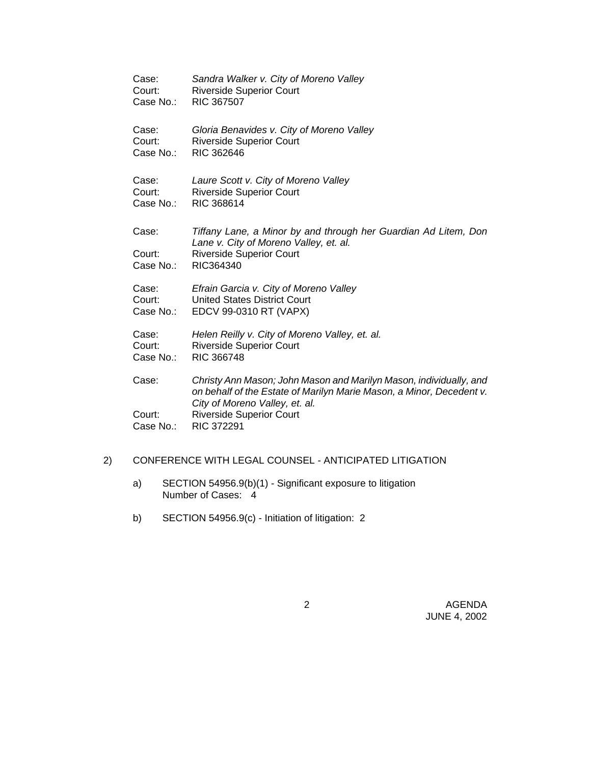| Case:                        | Sandra Walker v. City of Moreno Valley                                                                                                                                                                          |
|------------------------------|-----------------------------------------------------------------------------------------------------------------------------------------------------------------------------------------------------------------|
| Court:                       | <b>Riverside Superior Court</b>                                                                                                                                                                                 |
| Case No.:                    | RIC 367507                                                                                                                                                                                                      |
| Case:                        | Gloria Benavides v. City of Moreno Valley                                                                                                                                                                       |
| Court:                       | <b>Riverside Superior Court</b>                                                                                                                                                                                 |
| Case No.:                    | RIC 362646                                                                                                                                                                                                      |
| Case:                        | Laure Scott v. City of Moreno Valley                                                                                                                                                                            |
| Court:                       | <b>Riverside Superior Court</b>                                                                                                                                                                                 |
| Case No.:                    | RIC 368614                                                                                                                                                                                                      |
| Case:<br>Court:<br>Case No.: | Tiffany Lane, a Minor by and through her Guardian Ad Litem, Don<br>Lane v. City of Moreno Valley, et. al.<br><b>Riverside Superior Court</b><br>RIC364340                                                       |
| Case:                        | Efrain Garcia v. City of Moreno Valley                                                                                                                                                                          |
| Court:                       | <b>United States District Court</b>                                                                                                                                                                             |
| Case No.:                    | EDCV 99-0310 RT (VAPX)                                                                                                                                                                                          |
| Case:                        | Helen Reilly v. City of Moreno Valley, et. al.                                                                                                                                                                  |
| Court:                       | <b>Riverside Superior Court</b>                                                                                                                                                                                 |
| Case No.:                    | RIC 366748                                                                                                                                                                                                      |
| Case:<br>Court:              | Christy Ann Mason; John Mason and Marilyn Mason, individually, and<br>on behalf of the Estate of Marilyn Marie Mason, a Minor, Decedent v.<br>City of Moreno Valley, et. al.<br><b>Riverside Superior Court</b> |
| Case No.:                    | <b>RIC 372291</b>                                                                                                                                                                                               |

# 2) CONFERENCE WITH LEGAL COUNSEL - ANTICIPATED LITIGATION

- a) SECTION 54956.9(b)(1) Significant exposure to litigation Number of Cases: 4
- b) SECTION 54956.9(c) Initiation of litigation: 2

 2 AGENDA JUNE 4, 2002